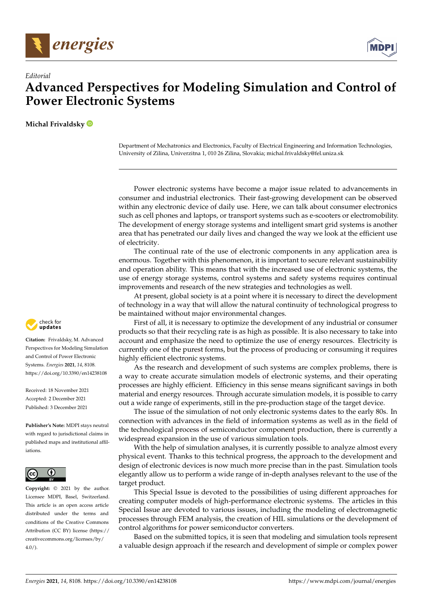



## **Advanced Perspectives for Modeling Simulation and Control of Power Electronic Systems**

**Michal Frivaldsky**

*Editorial*

Department of Mechatronics and Electronics, Faculty of Electrical Engineering and Information Technologies, University of Zilina, Univerzitna 1, 010 26 Zilina, Slovakia; michal.frivaldsky@fel.uniza.sk

Power electronic systems have become a major issue related to advancements in consumer and industrial electronics. Their fast-growing development can be observed within any electronic device of daily use. Here, we can talk about consumer electronics such as cell phones and laptops, or transport systems such as e-scooters or electromobility. The development of energy storage systems and intelligent smart grid systems is another area that has penetrated our daily lives and changed the way we look at the efficient use of electricity.

The continual rate of the use of electronic components in any application area is enormous. Together with this phenomenon, it is important to secure relevant sustainability and operation ability. This means that with the increased use of electronic systems, the use of energy storage systems, control systems and safety systems requires continual improvements and research of the new strategies and technologies as well.

At present, global society is at a point where it is necessary to direct the development of technology in a way that will allow the natural continuity of technological progress to be maintained without major environmental changes.

First of all, it is necessary to optimize the development of any industrial or consumer products so that their recycling rate is as high as possible. It is also necessary to take into account and emphasize the need to optimize the use of energy resources. Electricity is currently one of the purest forms, but the process of producing or consuming it requires highly efficient electronic systems.

As the research and development of such systems are complex problems, there is a way to create accurate simulation models of electronic systems, and their operating processes are highly efficient. Efficiency in this sense means significant savings in both material and energy resources. Through accurate simulation models, it is possible to carry out a wide range of experiments, still in the pre-production stage of the target device.

The issue of the simulation of not only electronic systems dates to the early 80s. In connection with advances in the field of information systems as well as in the field of the technological process of semiconductor component production, there is currently a widespread expansion in the use of various simulation tools.

With the help of simulation analyses, it is currently possible to analyze almost every physical event. Thanks to this technical progress, the approach to the development and design of electronic devices is now much more precise than in the past. Simulation tools elegantly allow us to perform a wide range of in-depth analyses relevant to the use of the target product.

This Special Issue is devoted to the possibilities of using different approaches for creating computer models of high-performance electronic systems. The articles in this Special Issue are devoted to various issues, including the modeling of electromagnetic processes through FEM analysis, the creation of HIL simulations or the development of control algorithms for power semiconductor converters.

Based on the submitted topics, it is seen that modeling and simulation tools represent a valuable design approach if the research and development of simple or complex power



**Citation:** Frivaldsky, M. Advanced Perspectives for Modeling Simulation and Control of Power Electronic Systems. *Energies* **2021**, *14*, 8108. <https://doi.org/10.3390/en14238108>

Received: 18 November 2021 Accepted: 2 December 2021 Published: 3 December 2021

**Publisher's Note:** MDPI stays neutral with regard to jurisdictional claims in published maps and institutional affiliations.



**Copyright:** © 2021 by the author. Licensee MDPI, Basel, Switzerland. This article is an open access article distributed under the terms and conditions of the Creative Commons Attribution (CC BY) license (https:/[/](https://creativecommons.org/licenses/by/4.0/) [creativecommons.org/licenses/by/](https://creativecommons.org/licenses/by/4.0/)  $4.0/$ ).